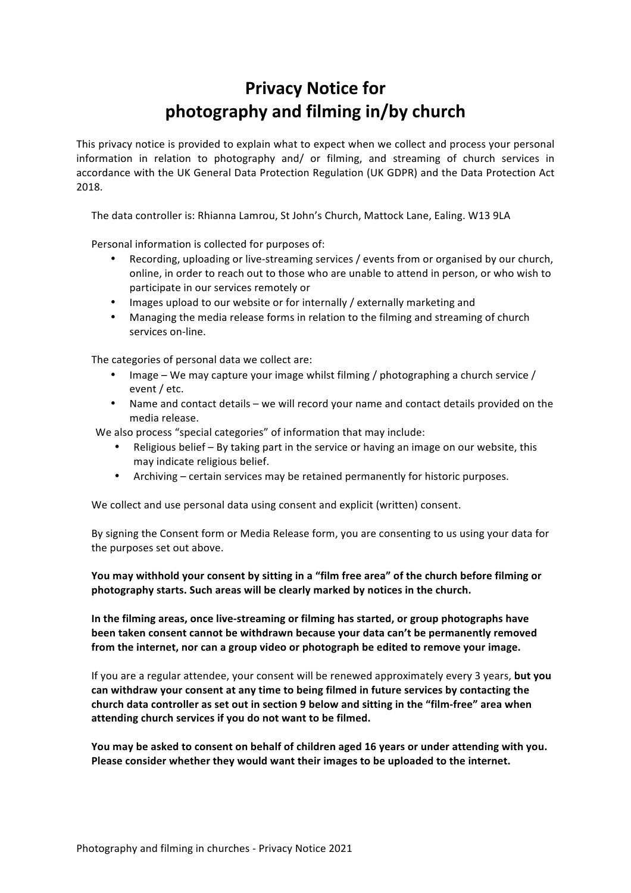## **Privacy Notice for photography and filming in/by church**

This privacy notice is provided to explain what to expect when we collect and process your personal information in relation to photography and/ or filming, and streaming of church services in accordance with the UK General Data Protection Regulation (UK GDPR) and the Data Protection Act 2018.

The data controller is: Rhianna Lamrou, St John's Church, Mattock Lane, Ealing. W13 9LA

Personal information is collected for purposes of:

- Recording, uploading or live-streaming services / events from or organised by our church, online, in order to reach out to those who are unable to attend in person, or who wish to participate in our services remotely or
- Images upload to our website or for internally / externally marketing and
- Managing the media release forms in relation to the filming and streaming of church services on-line.

The categories of personal data we collect are:

- Image We may capture your image whilst filming  $/$  photographing a church service  $/$ event / etc.
- Name and contact details we will record your name and contact details provided on the media release.

We also process "special categories" of information that may include:

- Religious belief  $-$  By taking part in the service or having an image on our website, this may indicate religious belief.
- Archiving certain services may be retained permanently for historic purposes.

We collect and use personal data using consent and explicit (written) consent.

By signing the Consent form or Media Release form, you are consenting to us using your data for the purposes set out above.

You may withhold your consent by sitting in a "film free area" of the church before filming or photography starts. Such areas will be clearly marked by notices in the church.

In the filming areas, once live-streaming or filming has started, or group photographs have been taken consent cannot be withdrawn because your data can't be permanently removed from the internet, nor can a group video or photograph be edited to remove your image.

If you are a regular attendee, your consent will be renewed approximately every 3 years, **but you** can withdraw your consent at any time to being filmed in future services by contacting the church data controller as set out in section 9 below and sitting in the "film-free" area when attending church services if you do not want to be filmed.

You may be asked to consent on behalf of children aged 16 years or under attending with you. Please consider whether they would want their images to be uploaded to the internet.